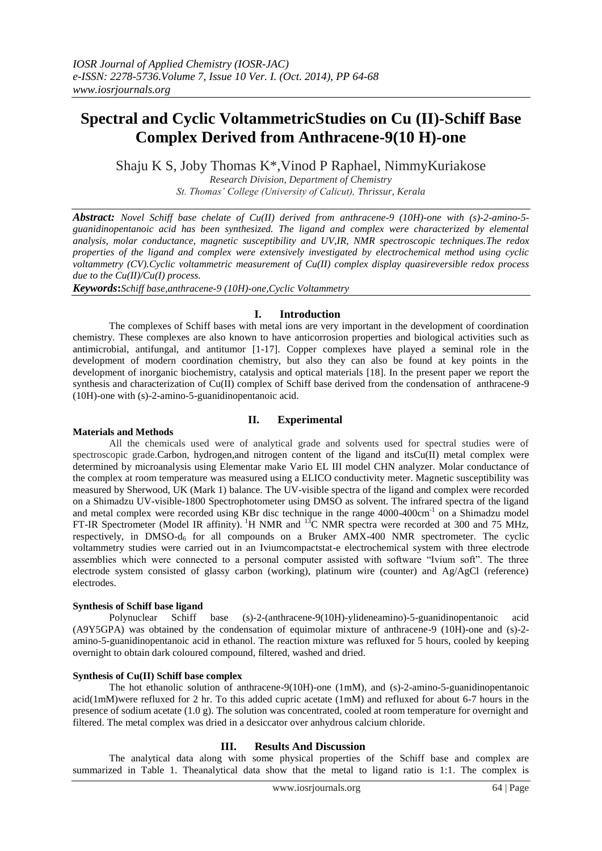# **Spectral and Cyclic VoltammetricStudies on Cu (II)-Schiff Base Complex Derived from Anthracene-9(10 H)-one**

Shaju K S, Joby Thomas K\*,Vinod P Raphael, NimmyKuriakose

*Research Division, Department of Chemistry St. Thomas' College (University of Calicut), Thrissur, Kerala*

*Abstract: Novel Schiff base chelate of Cu(II) derived from anthracene-9 (10H)-one with (s)-2-amino-5 guanidinopentanoic acid has been synthesized. The ligand and complex were characterized by elemental analysis, molar conductance, magnetic susceptibility and UV,IR, NMR spectroscopic techniques.The redox properties of the ligand and complex were extensively investigated by electrochemical method using cyclic voltammetry (CV).Cyclic voltammetric measurement of Cu(II) complex display quasireversible redox process due to the Cu(II)/Cu(I) process.*

*Keywords***:***Schiff base,anthracene-9 (10H)-one,Cyclic Voltammetry*

# **I. Introduction**

The complexes of Schiff bases with metal ions are very important in the development of coordination chemistry. These complexes are also known to have anticorrosion properties and biological activities such as antimicrobial, antifungal, and antitumor [1-17]. Copper complexes have played a seminal role in the development of modern coordination chemistry, but also they can also be found at key points in the development of inorganic biochemistry, catalysis and optical materials [18]. In the present paper we report the synthesis and characterization of Cu(II) complex of Schiff base derived from the condensation of anthracene-9 (10H)-one with (s)-2-amino-5-guanidinopentanoic acid.

# **II. Experimental**

# **Materials and Methods**

All the chemicals used were of analytical grade and solvents used for spectral studies were of spectroscopic grade.Carbon, hydrogen,and nitrogen content of the ligand and itsCu(II) metal complex were determined by microanalysis using Elementar make Vario EL III model CHN analyzer. Molar conductance of the complex at room temperature was measured using a ELICO conductivity meter. Magnetic susceptibility was measured by Sherwood, UK (Mark 1) balance. The UV-visible spectra of the ligand and complex were recorded on a Shimadzu UV-visible-1800 Spectrophotometer using DMSO as solvent. The infrared spectra of the ligand and metal complex were recorded using KBr disc technique in the range 4000-400cm<sup>-1</sup> on a Shimadzu model FT-IR Spectrometer (Model IR affinity). <sup>1</sup>H NMR and <sup>13</sup>C NMR spectra were recorded at 300 and 75 MHz, respectively, in DMSO- $d_6$  for all compounds on a Bruker AMX-400 NMR spectrometer. The cyclic voltammetry studies were carried out in an Iviumcompactstat-e electrochemical system with three electrode assemblies which were connected to a personal computer assisted with software "Ivium soft". The three electrode system consisted of glassy carbon (working), platinum wire (counter) and Ag/AgCl (reference) electrodes.

#### **Synthesis of Schiff base ligand**

Polynuclear Schiff base (s)-2-(anthracene-9(10H)-ylideneamino)-5-guanidinopentanoic acid (A9Y5GPA) was obtained by the condensation of equimolar mixture of anthracene-9 (10H)-one and (s)-2 amino-5-guanidinopentanoic acid in ethanol. The reaction mixture was refluxed for 5 hours, cooled by keeping overnight to obtain dark coloured compound, filtered, washed and dried.

#### **Synthesis of Cu(II) Schiff base complex**

The hot ethanolic solution of anthracene-9(10H)-one (1mM), and (s)-2-amino-5-guanidinopentanoic acid(1mM)were refluxed for 2 hr. To this added cupric acetate (1mM) and refluxed for about 6-7 hours in the presence of sodium acetate (1.0 g). The solution was concentrated, cooled at room temperature for overnight and filtered. The metal complex was dried in a desiccator over anhydrous calcium chloride.

# **III. Results And Discussion**

The analytical data along with some physical properties of the Schiff base and complex are summarized in Table 1. Theanalytical data show that the metal to ligand ratio is 1:1. The complex is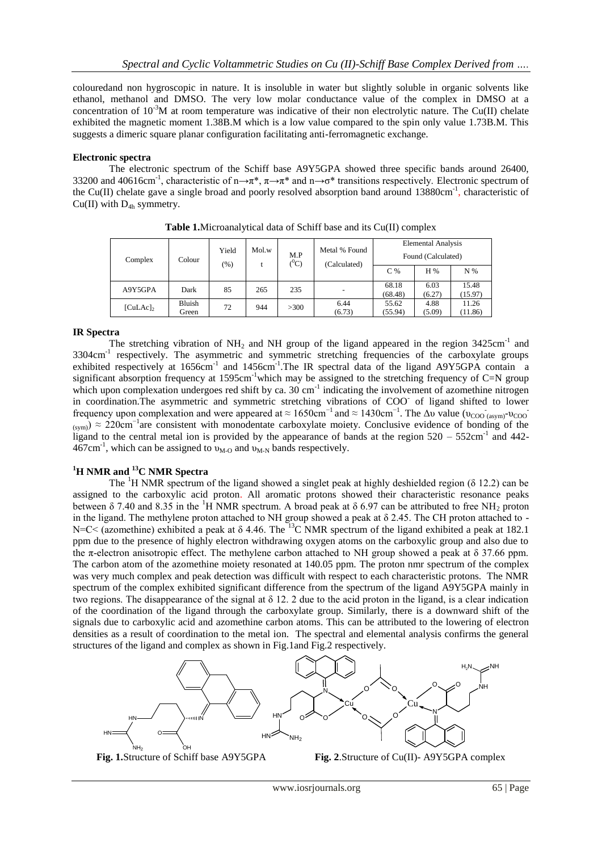colouredand non hygroscopic in nature. It is insoluble in water but slightly soluble in organic solvents like ethanol, methanol and DMSO. The very low molar conductance value of the complex in DMSO at a concentration of  $10^{-3}$ M at room temperature was indicative of their non electrolytic nature. The Cu(II) chelate exhibited the magnetic moment 1.38B.M which is a low value compared to the spin only value 1.73B.M. This suggests a dimeric square planar configuration facilitating anti-ferromagnetic exchange.

## **Electronic spectra**

The electronic spectrum of the Schiff base A9Y5GPA showed three specific bands around 26400, 33200 and 40616cm<sup>-1</sup>, characteristic of n→π<sup>\*</sup>,  $\pi \rightarrow \pi^*$  and n→σ<sup>\*</sup> transitions respectively. Electronic spectrum of the Cu(II) chelate gave a single broad and poorly resolved absorption band around 13880cm<sup>-1</sup>, characteristic of  $Cu(II)$  with  $D_{4h}$  symmetry.

| Complex     | Colour | Yield<br>$\frac{9}{6}$ | Mol.w | M.P<br>$(^0C)$ | Metal % Found<br>(Calculated) | <b>Elemental Analysis</b> |                |                  |
|-------------|--------|------------------------|-------|----------------|-------------------------------|---------------------------|----------------|------------------|
|             |        |                        |       |                |                               | Found (Calculated)        |                |                  |
|             |        |                        |       |                |                               | C%                        | H %            | N %              |
| A9Y5GPA     | Dark   | 85                     | 265   | 235            |                               | 68.18<br>(68.48)          | 6.03<br>(6.27) | 15.48<br>(15.97) |
| $[CuLAc]_2$ | Bluish | 72                     | 944   | >300           | 6.44                          | 55.62                     | 4.88           | 11.26            |
|             | Green  |                        |       |                | (6.73)                        | (55.94)                   | (5.09)         | (11.86)          |

**Table 1.**Microanalytical data of Schiff base and its Cu(II) complex

## **IR Spectra**

The stretching vibration of  $NH_2$  and NH group of the ligand appeared in the region 3425cm<sup>-1</sup> and 3304cm<sup>-1</sup> respectively. The asymmetric and symmetric stretching frequencies of the carboxylate groups exhibited respectively at 1656cm<sup>-1</sup> and 1456cm<sup>-1</sup>. The IR spectral data of the ligand A9Y5GPA contain a significant absorption frequency at 1595cm<sup>-1</sup>which may be assigned to the stretching frequency of C=N group which upon complexation undergoes red shift by ca. 30 cm<sup>-1</sup> indicating the involvement of azomethine nitrogen in coordination. The asymmetric and symmetric stretching vibrations of COO of ligand shifted to lower frequency upon complexation and were appeared at  $\approx 1650$ cm<sup>-1</sup> and  $\approx 1430$ cm<sup>-1</sup>. The Δυ value (υ<sub>COO (asym)</sub>-υ<sub>COO</sub>  $(\text{sym})$  ≈ 220cm<sup>-1</sup>are consistent with monodentate carboxylate moiety. Conclusive evidence of bonding of the ligand to the central metal ion is provided by the appearance of bands at the region  $520 - 552$ cm<sup>-1</sup> and 442- $467 \text{cm}^{-1}$ , which can be assigned to  $v_{\text{M-O}}$  and  $v_{\text{M-N}}$  bands respectively.

# **<sup>1</sup>H NMR and <sup>13</sup>C NMR Spectra**

The <sup>1</sup>H NMR spectrum of the ligand showed a singlet peak at highly deshielded region ( $\delta$  12.2) can be assigned to the carboxylic acid proton. All aromatic protons showed their characteristic resonance peaks between  $\delta$  7.40 and 8.35 in the <sup>1</sup>H NMR spectrum. A broad peak at  $\delta$  6.97 can be attributed to free NH<sub>2</sub> proton in the ligand. The methylene proton attached to NH group showed a peak at  $\delta$  2.45. The CH proton attached to -N=C< (azomethine) exhibited a peak at δ 4.46. The <sup>13</sup>C NMR spectrum of the ligand exhibited a peak at 182.1 ppm due to the presence of highly electron withdrawing oxygen atoms on the carboxylic group and also due to the π-electron anisotropic effect. The methylene carbon attached to NH group showed a peak at  $\delta$  37.66 ppm. The carbon atom of the azomethine moiety resonated at 140.05 ppm. The proton nmr spectrum of the complex was very much complex and peak detection was difficult with respect to each characteristic protons. The NMR spectrum of the complex exhibited significant difference from the spectrum of the ligand A9Y5GPA mainly in two regions. The disappearance of the signal at δ 12. 2 due to the acid proton in the ligand, is a clear indication of the coordination of the ligand through the carboxylate group. Similarly, there is a downward shift of the signals due to carboxylic acid and azomethine carbon atoms. This can be attributed to the lowering of electron densities as a result of coordination to the metal ion. The spectral and elemental analysis confirms the general structures of the ligand and complex as shown in Fig.1and Fig.2 respectively.





**Fig. 1.**Structure of Schiff base A9Y5GPA **Fig. 2**.Structure of Cu(II)- A9Y5GPA complex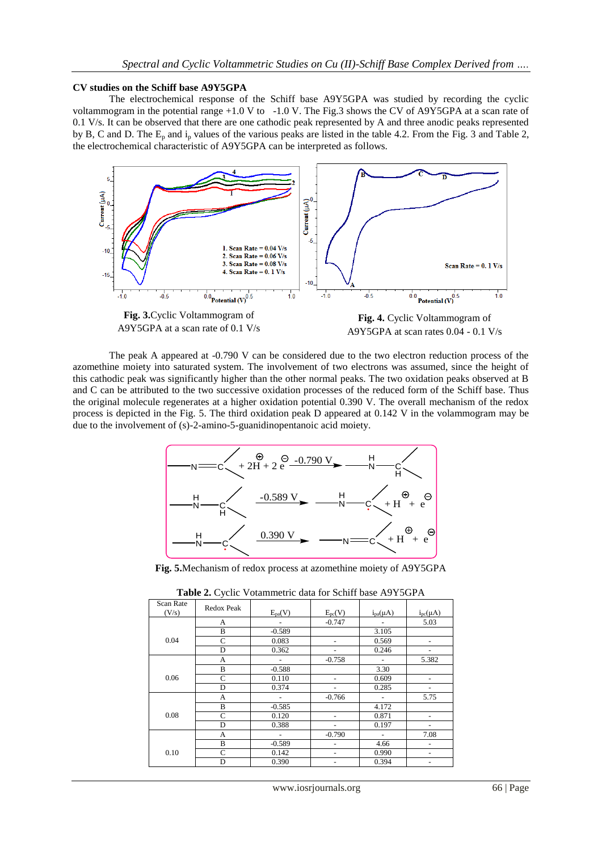#### **CV studies on the Schiff base A9Y5GPA**

The electrochemical response of the Schiff base A9Y5GPA was studied by recording the cyclic voltammogram in the potential range +1.0 V to -1.0 V. The Fig.3 shows the CV of A9Y5GPA at a scan rate of 0.1 V/s. It can be observed that there are one cathodic peak represented by A and three anodic peaks represented by B, C and D. The  $E_p$  and  $i_p$  values of the various peaks are listed in the table 4.2. From the Fig. 3 and Table 2, the electrochemical characteristic of A9Y5GPA can be interpreted as follows.



The peak A appeared at -0.790 V can be considered due to the two electron reduction process of the azomethine moiety into saturated system. The involvement of two electrons was assumed, since the height of this cathodic peak was significantly higher than the other normal peaks. The two oxidation peaks observed at B and C can be attributed to the two successive oxidation processes of the reduced form of the Schiff base. Thus the original molecule regenerates at a higher oxidation potential 0.390 V. The overall mechanism of the redox process is depicted in the Fig. 5. The third oxidation peak D appeared at 0.142 V in the volammogram may be due to the involvement of (s)-2-amino-5-guanidinopentanoic acid moiety.



**Fig. 5.**Mechanism of redox process at azomethine moiety of A9Y5GPA

| Scan Rate<br>(V/s) | Redox Peak | $E_{pa}(V)$                  | $E_{pc}(V)$ | $i_{pa}(\mu A)$          | $i_{pc}(\mu A)$ |
|--------------------|------------|------------------------------|-------------|--------------------------|-----------------|
|                    | A          | $\qquad \qquad \blacksquare$ | $-0.747$    |                          | 5.03            |
|                    | B          | $-0.589$                     |             | 3.105                    |                 |
| 0.04               | C          | 0.083                        | -           | 0.569                    |                 |
|                    | D          | 0.362                        |             | 0.246                    |                 |
|                    | A          |                              | $-0.758$    |                          | 5.382           |
|                    | B          | $-0.588$                     |             | 3.30                     |                 |
| 0.06               | C          | 0.110                        |             | 0.609                    |                 |
|                    | D          | 0.374                        |             | 0.285                    |                 |
|                    | А          |                              | $-0.766$    |                          | 5.75            |
|                    | B          | $-0.585$                     |             | 4.172                    |                 |
| 0.08               | C          | 0.120                        |             | 0.871                    |                 |
|                    | D          | 0.388                        |             | 0.197                    |                 |
|                    | А          | $\qquad \qquad \blacksquare$ | $-0.790$    | $\overline{\phantom{0}}$ | 7.08            |
|                    | B          | $-0.589$                     | ۰           | 4.66                     | ۰               |
| 0.10               | C          | 0.142                        | ۰           | 0.990                    | ۰               |
|                    | D          | 0.390                        |             | 0.394                    |                 |

**Table 2.** Cyclic Votammetric data for Schiff base A9Y5GPA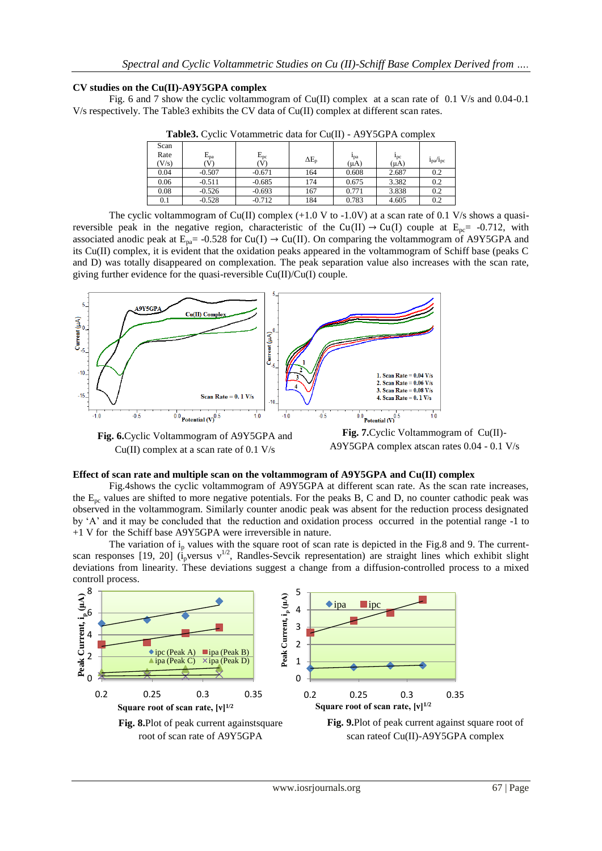# **CV studies on the Cu(II)-A9Y5GPA complex**

Fig. 6 and 7 show the cyclic voltammogram of Cu(II) complex at a scan rate of 0.1 V/s and 0.04-0.1 V/s respectively. The Table3 exhibits the CV data of Cu(II) complex at different scan rates.

| <b>Tables:</b> Cyclic Volummetric data for Cu(II) 112150111 complex |          |              |                |           |                 |                                  |  |  |
|---------------------------------------------------------------------|----------|--------------|----------------|-----------|-----------------|----------------------------------|--|--|
| Scan                                                                |          |              |                |           |                 |                                  |  |  |
| Rate                                                                | $E_{pa}$ | $E_{\rm pc}$ | $\Delta E_{p}$ | $1_{pa}$  | $1_{\text{pc}}$ |                                  |  |  |
| (V/s)                                                               | V)       | V)           |                | $(\mu A)$ | $(\mu A)$       | i <sub>pa</sub> /i <sub>pc</sub> |  |  |
| 0.04                                                                | $-0.507$ | $-0.671$     | 164            | 0.608     | 2.687           | 0.2                              |  |  |
| 0.06                                                                | $-0.511$ | $-0.685$     | 174            | 0.675     | 3.382           | 0.2                              |  |  |
| 0.08                                                                | $-0.526$ | $-0.693$     | 167            | 0.771     | 3.838           | 0.2                              |  |  |
| 0.1                                                                 | $-0.528$ | $-0.712$     | 184            | 0.783     | 4.605           | 0.2                              |  |  |

**Table3.** Cyclic Votammetric data for Cu(II) - A9Y5GPA complex

The cyclic voltammogram of Cu(II) complex  $(+1.0 \text{ V}$  to  $-1.0 \text{V})$  at a scan rate of 0.1 V/s shows a quasireversible peak in the negative region, characteristic of the Cu(II)  $\rightarrow$  Cu(I) couple at E<sub>pc</sub>= -0.712, with associated anodic peak at  $E_{pa}$  = -0.528 for Cu(I)  $\rightarrow$  Cu(II). On comparing the voltammogram of A9Y5GPA and its Cu(II) complex, it is evident that the oxidation peaks appeared in the voltammogram of Schiff base (peaks C and D) was totally disappeared on complexation. The peak separation value also increases with the scan rate, giving further evidence for the quasi-reversible Cu(II)/Cu(I) couple.



**Fig. 6.**Cyclic Voltammogram of A9Y5GPA and Cu(II) complex at a scan rate of 0.1 V/s

**Fig. 7.**Cyclic Voltammogram of Cu(II)- A9Y5GPA complex atscan rates 0.04 - 0.1 V/s

# **Effect of scan rate and multiple scan on the voltammogram of A9Y5GPA and Cu(II) complex**

Fig.4shows the cyclic voltammogram of A9Y5GPA at different scan rate. As the scan rate increases, the  $E_{\text{pc}}$  values are shifted to more negative potentials. For the peaks B, C and D, no counter cathodic peak was observed in the voltammogram. Similarly counter anodic peak was absent for the reduction process designated by "A" and it may be concluded that the reduction and oxidation process occurred in the potential range -1 to +1 V for the Schiff base A9Y5GPA were irreversible in nature.

The variation of  $i<sub>p</sub>$  values with the square root of scan rate is depicted in the Fig.8 and 9. The currentscan responses [19, 20] ( $i<sub>p</sub>$ versus v<sup>1/2</sup>, Randles-Sevcik representation) are straight lines which exhibit slight deviations from linearity. These deviations suggest a change from a diffusion-controlled process to a mixed controll process.